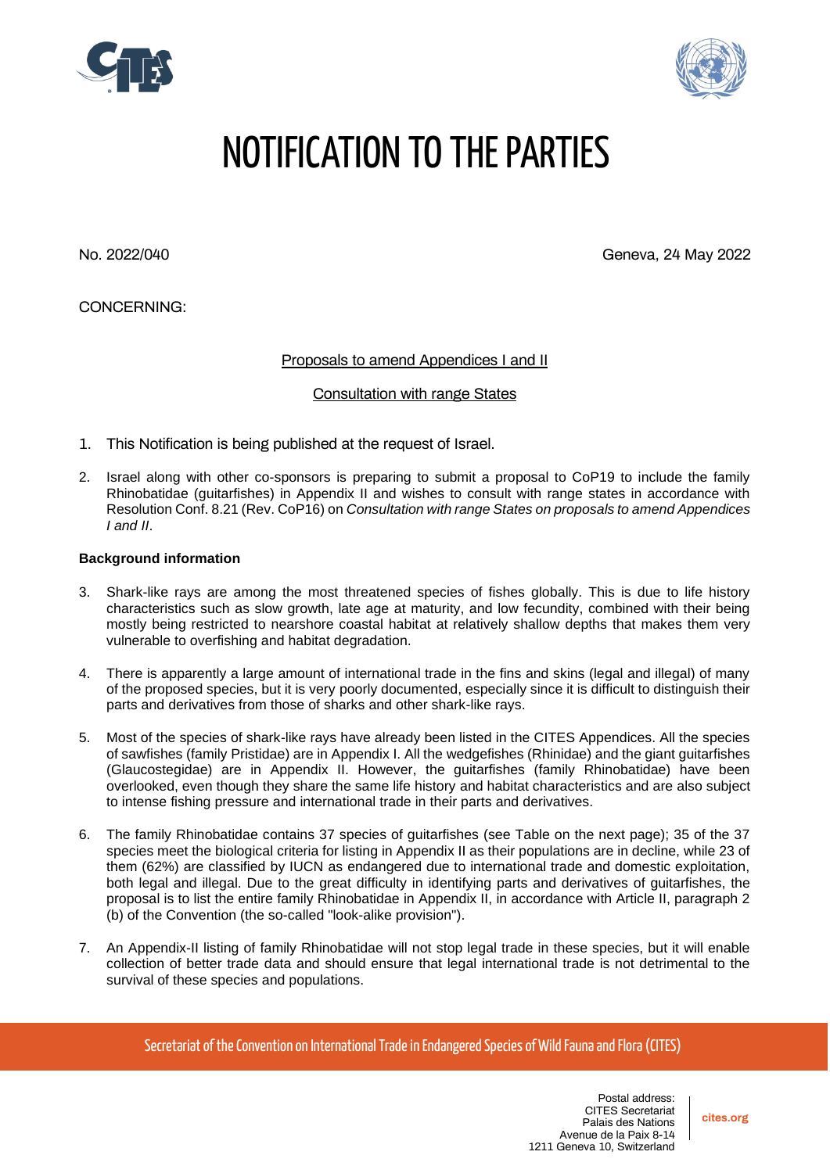



## NOTIFICATION TO THE PARTIES

No. 2022/040 Geneva, 24 May 2022

CONCERNING:

Proposals to amend Appendices I and II

Consultation with range States

- 1. This Notification is being published at the request of Israel.
- 2. Israel along with other co-sponsors is preparing to submit a proposal to CoP19 to include the family Rhinobatidae (guitarfishes) in Appendix II and wishes to consult with range states in accordance with Resolution Conf. 8.21 (Rev. CoP16) on *Consultation with range States on proposals to amend Appendices I and II*.

## **Background information**

- 3. Shark-like rays are among the most threatened species of fishes globally. This is due to life history characteristics such as slow growth, late age at maturity, and low fecundity, combined with their being mostly being restricted to nearshore coastal habitat at relatively shallow depths that makes them very vulnerable to overfishing and habitat degradation.
- 4. There is apparently a large amount of international trade in the fins and skins (legal and illegal) of many of the proposed species, but it is very poorly documented, especially since it is difficult to distinguish their parts and derivatives from those of sharks and other shark-like rays.
- 5. Most of the species of shark-like rays have already been listed in the CITES Appendices. All the species of sawfishes (family Pristidae) are in Appendix I. All the wedgefishes (Rhinidae) and the giant guitarfishes (Glaucostegidae) are in Appendix II. However, the guitarfishes (family Rhinobatidae) have been overlooked, even though they share the same life history and habitat characteristics and are also subject to intense fishing pressure and international trade in their parts and derivatives.
- 6. The family Rhinobatidae contains 37 species of guitarfishes (see Table on the next page); 35 of the 37 species meet the biological criteria for listing in Appendix II as their populations are in decline, while 23 of them (62%) are classified by IUCN as endangered due to international trade and domestic exploitation, both legal and illegal. Due to the great difficulty in identifying parts and derivatives of guitarfishes, the proposal is to list the entire family Rhinobatidae in Appendix II, in accordance with Article II, paragraph 2 (b) of the Convention (the so-called "look-alike provision").
- 7. An Appendix-II listing of family Rhinobatidae will not stop legal trade in these species, but it will enable collection of better trade data and should ensure that legal international trade is not detrimental to the survival of these species and populations.

Secretariat of the Convention on International Trade in Endangered Species of Wild Fauna and Flora (CITES)

**cites.org**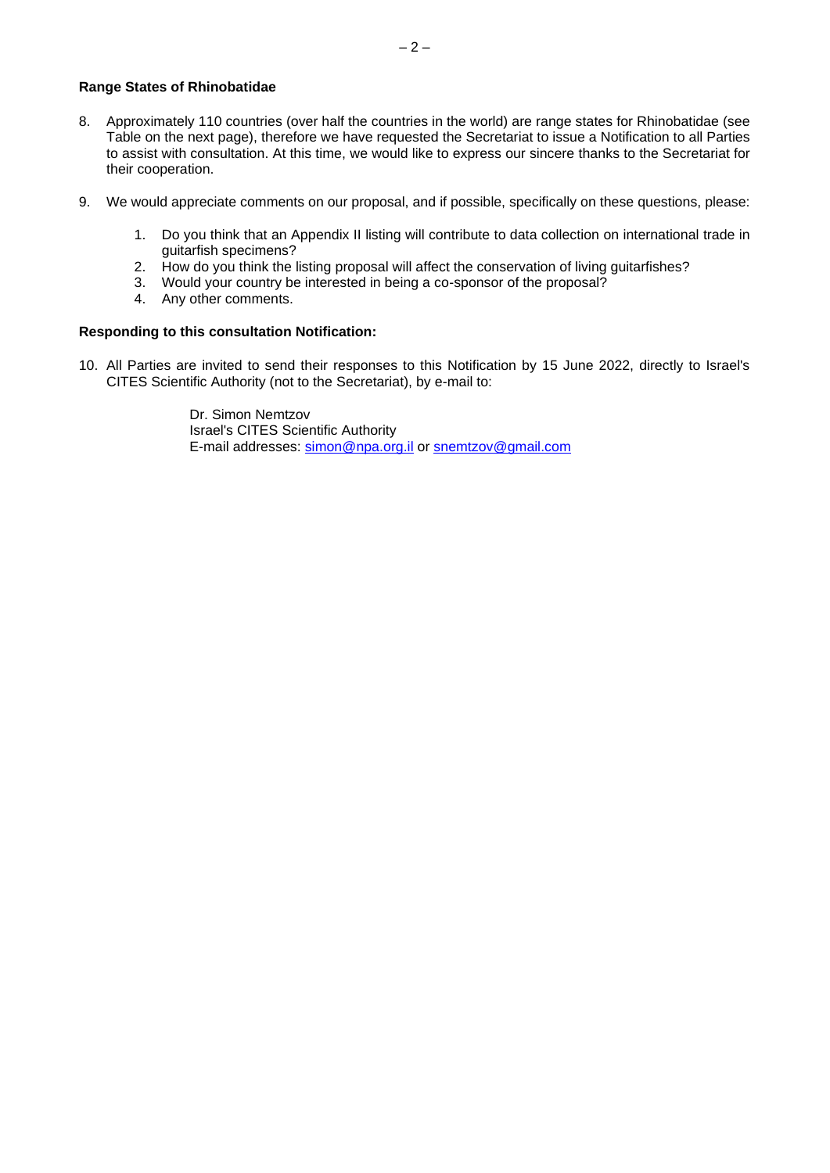- 8. Approximately 110 countries (over half the countries in the world) are range states for Rhinobatidae (see Table on the next page), therefore we have requested the Secretariat to issue a Notification to all Parties to assist with consultation. At this time, we would like to express our sincere thanks to the Secretariat for their cooperation.
- 9. We would appreciate comments on our proposal, and if possible, specifically on these questions, please:
	- 1. Do you think that an Appendix II listing will contribute to data collection on international trade in guitarfish specimens?
	- 2. How do you think the listing proposal will affect the conservation of living guitarfishes?
	- 3. Would your country be interested in being a co-sponsor of the proposal?
	- 4. Any other comments.

## **Responding to this consultation Notification:**

10. All Parties are invited to send their responses to this Notification by 15 June 2022, directly to Israel's CITES Scientific Authority (not to the Secretariat), by e-mail to:

> Dr. Simon Nemtzov Israel's CITES Scientific Authority E-mail addresses: [simon@npa.org.il](mailto:simon@npa.org.il) or [snemtzov@gmail.com](mailto:snemtzov@gmail.com)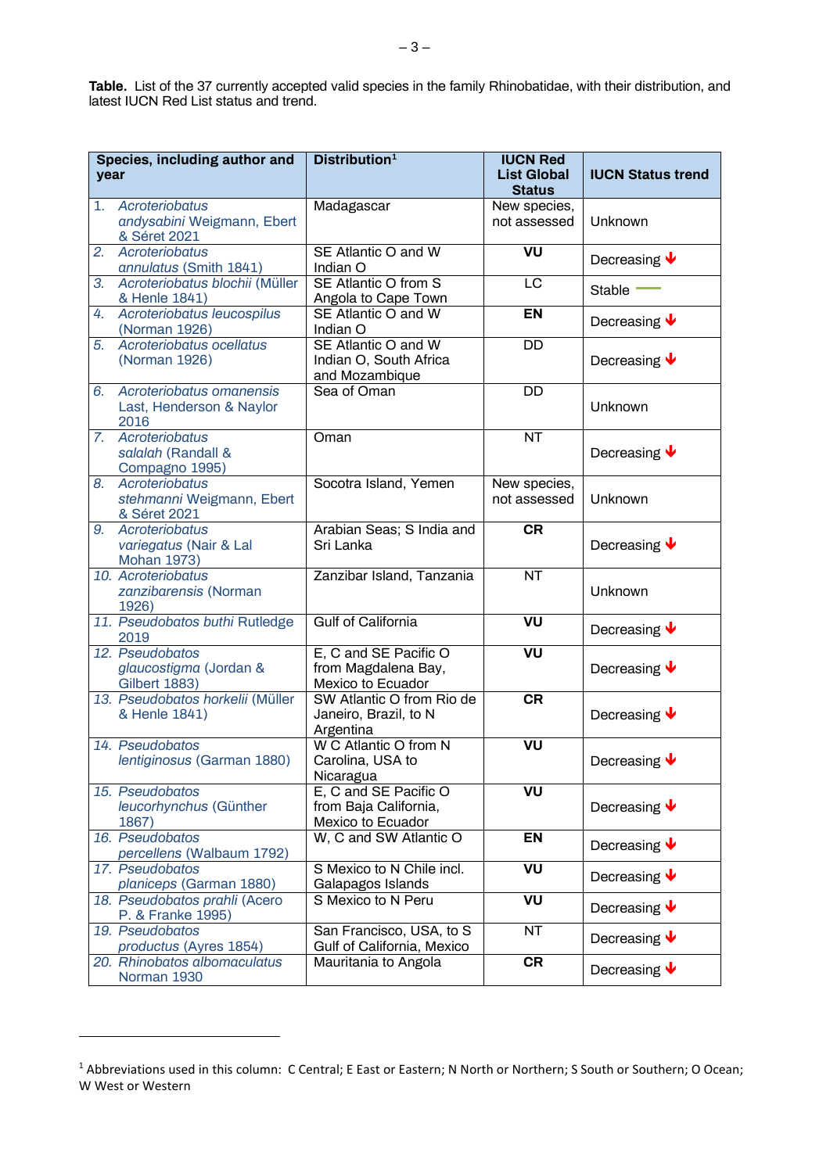**Table.** List of the 37 currently accepted valid species in the family Rhinobatidae, with their distribution, and latest IUCN Red List status and trend.

| Species, including author and<br>year |                                                                   | Distribution <sup>1</sup>                                                | <b>IUCN Red</b><br><b>List Global</b><br><b>Status</b> | <b>IUCN Status trend</b>         |
|---------------------------------------|-------------------------------------------------------------------|--------------------------------------------------------------------------|--------------------------------------------------------|----------------------------------|
| 1.                                    | Acroteriobatus<br>andysabini Weigmann, Ebert<br>& Séret 2021      | Madagascar                                                               | New species,<br>not assessed                           | Unknown                          |
| 2.                                    | Acroteriobatus<br>annulatus (Smith 1841)                          | SE Atlantic O and W<br>Indian O                                          | VU                                                     | Decreasing $\blacklozenge$       |
| 3.                                    | Acroteriobatus blochii (Müller<br>& Henle 1841)                   | SE Atlantic O from S<br>Angola to Cape Town                              | LC                                                     | Stable                           |
| 4.                                    | Acroteriobatus leucospilus<br>(Norman 1926)                       | SE Atlantic O and W<br>Indian O                                          | <b>EN</b>                                              | Decreasing $\blacklozenge$       |
| 5.                                    | Acroteriobatus ocellatus<br>(Norman 1926)                         | SE Atlantic O and W<br>Indian O, South Africa<br>and Mozambique          | DD                                                     | Decreasing $\blacklozenge$       |
| 6.                                    | Acroteriobatus omanensis<br>Last, Henderson & Naylor<br>2016      | Sea of Oman                                                              | $\overline{DD}$                                        | Unknown                          |
|                                       | 7. Acroteriobatus<br>salalah (Randall &<br>Compagno 1995)         | Oman                                                                     | $\overline{\text{NT}}$                                 | Decreasing $\blacktriangleright$ |
| 8.                                    | Acroteriobatus<br>stehmanni Weigmann, Ebert<br>& Séret 2021       | Socotra Island, Yemen                                                    | New species,<br>not assessed                           | Unknown                          |
| 9.                                    | Acroteriobatus<br>variegatus (Nair & Lal<br><b>Mohan 1973)</b>    | Arabian Seas; S India and<br>Sri Lanka                                   | <b>CR</b>                                              | Decreasing $\blacktriangleright$ |
|                                       | 10. Acroteriobatus<br>zanzibarensis (Norman<br>1926)              | Zanzibar Island, Tanzania                                                | <b>NT</b>                                              | Unknown                          |
|                                       | 11. Pseudobatos buthi Rutledge<br>2019                            | <b>Gulf of California</b>                                                | VU                                                     | Decreasing $\blacklozenge$       |
|                                       | 12. Pseudobatos<br>glaucostigma (Jordan &<br><b>Gilbert 1883)</b> | E, C and SE Pacific O<br>from Magdalena Bay,<br><b>Mexico to Ecuador</b> | VU                                                     | Decreasing $\bigtriangledown$    |
|                                       | 13. Pseudobatos horkelii (Müller<br>& Henle 1841)                 | SW Atlantic O from Rio de<br>Janeiro, Brazil, to N<br>Argentina          | CR                                                     | Decreasing $\blacktriangleright$ |
|                                       | 14. Pseudobatos<br>lentiginosus (Garman 1880)                     | W C Atlantic O from N<br>Carolina, USA to<br>Nicaragua                   | VU                                                     | Decreasing $\blacklozenge$       |
|                                       | 15. Pseudobatos<br>leucorhynchus (Günther<br>1867)                | E, C and SE Pacific O<br>from Baja California,<br>Mexico to Ecuador      | VU                                                     | Decreasing $\blacklozenge$       |
|                                       | 16. Pseudobatos<br>percellens (Walbaum 1792)                      | W, C and SW Atlantic O                                                   | <b>EN</b>                                              | Decreasing $\blacklozenge$       |
|                                       | 17. Pseudobatos<br>planiceps (Garman 1880)                        | S Mexico to N Chile incl.<br>Galapagos Islands                           | VU                                                     | Decreasing $\blacktriangleright$ |
|                                       | 18. Pseudobatos prahli (Acero<br>P. & Franke 1995)                | S Mexico to N Peru                                                       | VU                                                     | Decreasing $\bigtriangledown$    |
|                                       | 19. Pseudobatos<br>productus (Ayres 1854)                         | San Francisco, USA, to S<br>Gulf of California, Mexico                   | <b>NT</b>                                              | Decreasing $\blacktriangleright$ |
|                                       | 20. Rhinobatos albomaculatus<br>Norman 1930                       | Mauritania to Angola                                                     | CR                                                     | Decreasing $\blacklozenge$       |

<sup>&</sup>lt;sup>1</sup> Abbreviations used in this column: C Central; E East or Eastern; N North or Northern; S South or Southern; O Ocean; W West or Western